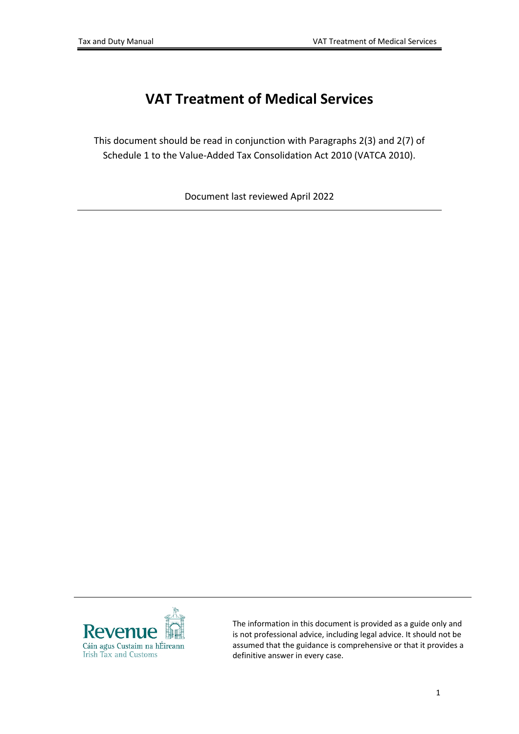# **VAT Treatment of Medical Services**

This document should be read in conjunction with Paragraphs 2(3) and 2(7) of Schedule 1 to the Value-Added Tax Consolidation Act 2010 (VATCA 2010).

Document last reviewed April 2022



The information in this document is provided as a guide only and is not professional advice, including legal advice. It should not be assumed that the guidance is comprehensive or that it provides a definitive answer in every case.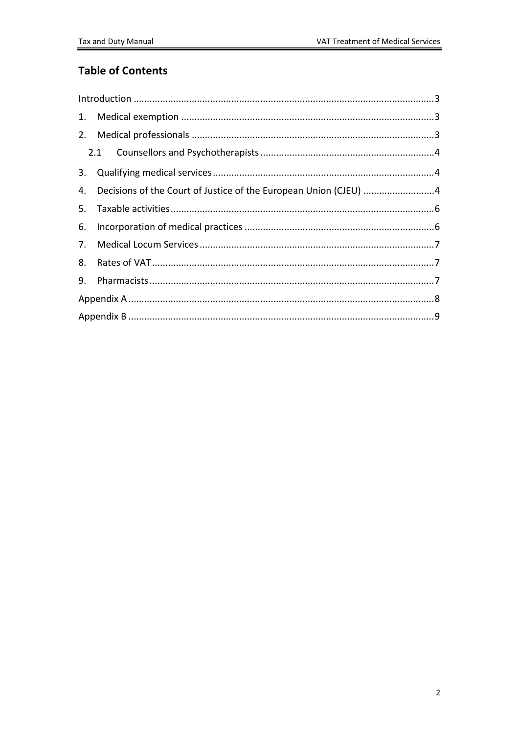#### **Table of Contents**

|  | 4. Decisions of the Court of Justice of the European Union (CJEU) 4 |  |  |  |
|--|---------------------------------------------------------------------|--|--|--|
|  |                                                                     |  |  |  |
|  |                                                                     |  |  |  |
|  |                                                                     |  |  |  |
|  |                                                                     |  |  |  |
|  |                                                                     |  |  |  |
|  |                                                                     |  |  |  |
|  |                                                                     |  |  |  |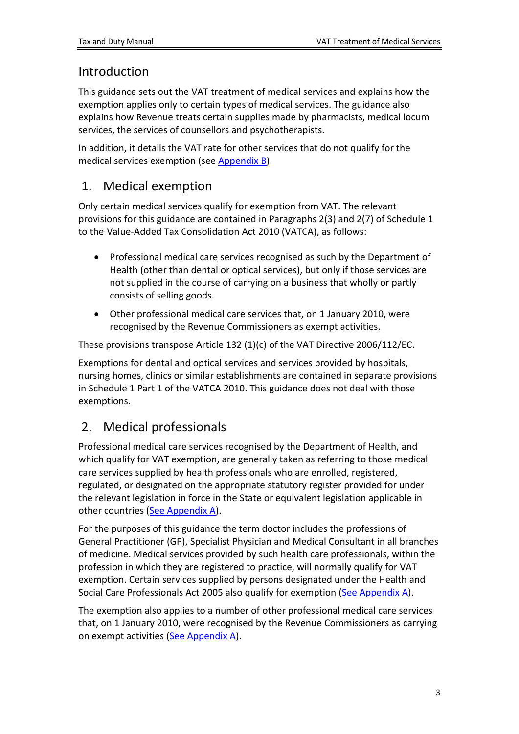#### <span id="page-2-0"></span>Introduction

This guidance sets out the VAT treatment of medical services and explains how the exemption applies only to certain types of medical services. The guidance also explains how Revenue treats certain supplies made by pharmacists, medical locum services, the services of counsellors and psychotherapists.

In addition, it details the VAT rate for other services that do not qualify for the medical services exemption (see [Appendix](#page-8-0) [B\)](#page-8-0).

### <span id="page-2-1"></span>1. Medical exemption

Only certain medical services qualify for exemption from VAT. The relevant provisions for this guidance are contained in Paragraphs 2(3) and 2(7) of Schedule 1 to the Value-Added Tax Consolidation Act 2010 (VATCA), as follows:

- Professional medical care services recognised as such by the Department of Health (other than dental or optical services), but only if those services are not supplied in the course of carrying on a business that wholly or partly consists of selling goods.
- Other professional medical care services that, on 1 January 2010, were recognised by the Revenue Commissioners as exempt activities.

These provisions transpose Article 132 (1)(c) of the VAT Directive 2006/112/EC.

Exemptions for dental and optical services and services provided by hospitals, nursing homes, clinics or similar establishments are contained in separate provisions in Schedule 1 Part 1 of the VATCA 2010. This guidance does not deal with those exemptions.

### <span id="page-2-2"></span>2. Medical professionals

Professional medical care services recognised by the Department of Health, and which qualify for VAT exemption, are generally taken as referring to those medical care services supplied by health professionals who are enrolled, registered, regulated, or designated on the appropriate statutory register provided for under the relevant legislation in force in the State or equivalent legislation applicable in other countries ([See](#page-7-0) [Appendix](#page-7-0) [A](#page-7-0)).

For the purposes of this guidance the term doctor includes the professions of General Practitioner (GP), Specialist Physician and Medical Consultant in all branches of medicine. Medical services provided by such health care professionals, within the profession in which they are registered to practice, will normally qualify for VAT exemption. Certain services supplied by persons designated under the Health and Social Care Professionals Act 2005 also qualify for exemption [\(See](#page-7-0) [Appendix](#page-7-0) [A](#page-7-0)).

The exemption also applies to a number of other professional medical care services that, on 1 January 2010, were recognised by the Revenue Commissioners as carrying on exempt activities ([See](#page-7-0) [Appendix](#page-7-0) [A\)](#page-7-0).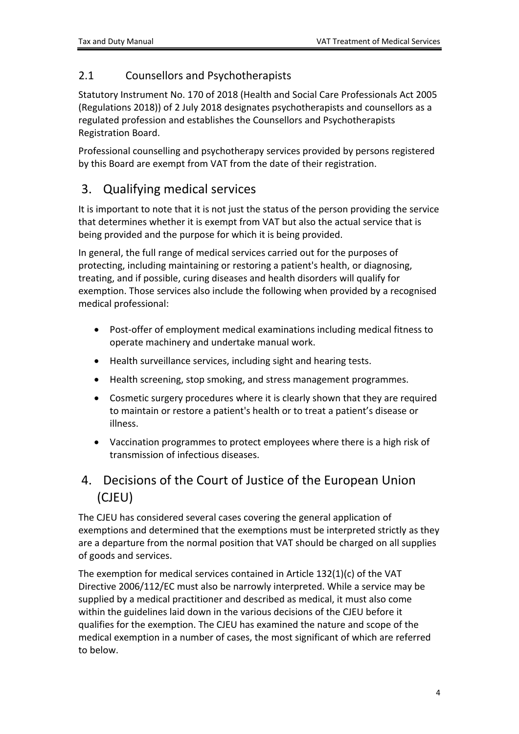#### <span id="page-3-0"></span>2.1 Counsellors and Psychotherapists

Statutory Instrument No. 170 of 2018 (Health and Social Care Professionals Act 2005 (Regulations 2018)) of 2 July 2018 designates psychotherapists and counsellors as a regulated profession and establishes the Counsellors and Psychotherapists Registration Board.

Professional counselling and psychotherapy services provided by persons registered by this Board are exempt from VAT from the date of their registration.

### <span id="page-3-1"></span>3. Qualifying medical services

It is important to note that it is not just the status of the person providing the service that determines whether it is exempt from VAT but also the actual service that is being provided and the purpose for which it is being provided.

In general, the full range of medical services carried out for the purposes of protecting, including maintaining or restoring a patient's health, or diagnosing, treating, and if possible, curing diseases and health disorders will qualify for exemption. Those services also include the following when provided by a recognised medical professional:

- Post-offer of employment medical examinations including medical fitness to operate machinery and undertake manual work.
- Health surveillance services, including sight and hearing tests.
- Health screening, stop smoking, and stress management programmes.
- Cosmetic surgery procedures where it is clearly shown that they are required to maintain or restore a patient's health or to treat a patient's disease or illness.
- Vaccination programmes to protect employees where there is a high risk of transmission of infectious diseases.

### <span id="page-3-2"></span>4. Decisions of the Court of Justice of the European Union (CJEU)

The CJEU has considered several cases covering the general application of exemptions and determined that the exemptions must be interpreted strictly as they are a departure from the normal position that VAT should be charged on all supplies of goods and services.

The exemption for medical services contained in Article 132(1)(c) of the VAT Directive 2006/112/EC must also be narrowly interpreted. While a service may be supplied by a medical practitioner and described as medical, it must also come within the guidelines laid down in the various decisions of the CJEU before it qualifies for the exemption. The CJEU has examined the nature and scope of the medical exemption in a number of cases, the most significant of which are referred to below.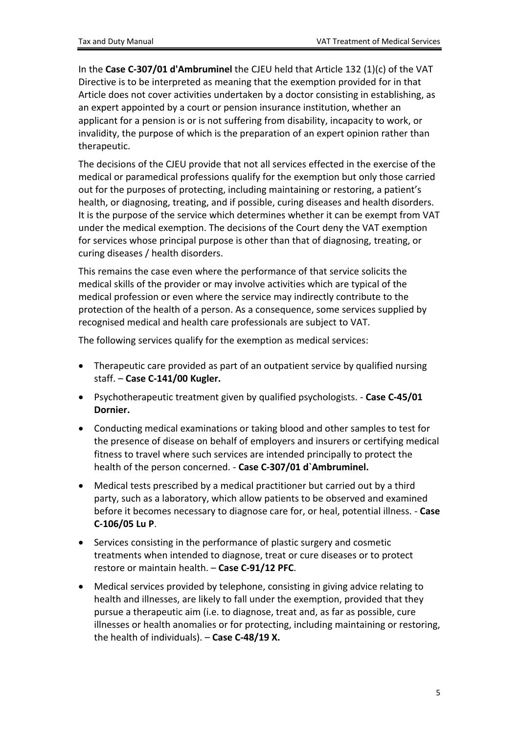In the **Case C-307/01 d'Ambruminel** the CJEU held that Article 132 (1)(c) of the VAT Directive is to be interpreted as meaning that the exemption provided for in that Article does not cover activities undertaken by a doctor consisting in establishing, as an expert appointed by a court or pension insurance institution, whether an applicant for a pension is or is not suffering from disability, incapacity to work, or invalidity, the purpose of which is the preparation of an expert opinion rather than therapeutic.

The decisions of the CJEU provide that not all services effected in the exercise of the medical or paramedical professions qualify for the exemption but only those carried out for the purposes of protecting, including maintaining or restoring, a patient's health, or diagnosing, treating, and if possible, curing diseases and health disorders. It is the purpose of the service which determines whether it can be exempt from VAT under the medical exemption. The decisions of the Court deny the VAT exemption for services whose principal purpose is other than that of diagnosing, treating, or curing diseases / health disorders.

This remains the case even where the performance of that service solicits the medical skills of the provider or may involve activities which are typical of the medical profession or even where the service may indirectly contribute to the protection of the health of a person. As a consequence, some services supplied by recognised medical and health care professionals are subject to VAT.

The following services qualify for the exemption as medical services:

- Therapeutic care provided as part of an outpatient service by qualified nursing staff. – **Case C-141/00 Kugler.**
- Psychotherapeutic treatment given by qualified psychologists. **Case C-45/01 Dornier.**
- Conducting medical examinations or taking blood and other samples to test for the presence of disease on behalf of employers and insurers or certifying medical fitness to travel where such services are intended principally to protect the health of the person concerned. - **Case C-307/01 d`Ambruminel.**
- Medical tests prescribed by a medical practitioner but carried out by a third party, such as a laboratory, which allow patients to be observed and examined before it becomes necessary to diagnose care for, or heal, potential illness. - **Case C-106/05 Lu P**.
- Services consisting in the performance of plastic surgery and cosmetic treatments when intended to diagnose, treat or cure diseases or to protect restore or maintain health. – **Case C-91/12 PFC**.
- Medical services provided by telephone, consisting in giving advice relating to health and illnesses, are likely to fall under the exemption, provided that they pursue a therapeutic aim (i.e. to diagnose, treat and, as far as possible, cure illnesses or health anomalies or for protecting, including maintaining or restoring, the health of individuals). – **Case C-48/19 X.**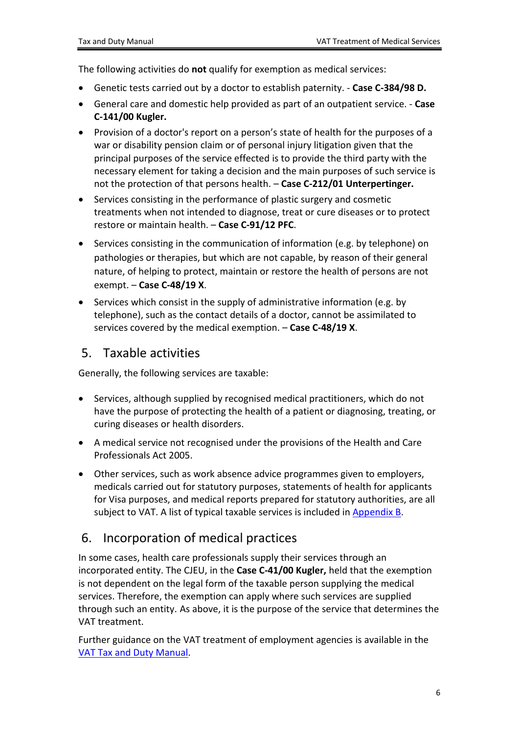The following activities do **not** qualify for exemption as medical services:

- Genetic tests carried out by a doctor to establish paternity. **Case C-384/98 D.**
- General care and domestic help provided as part of an outpatient service. **Case C-141/00 Kugler.**
- Provision of a doctor's report on a person's state of health for the purposes of a war or disability pension claim or of personal injury litigation given that the principal purposes of the service effected is to provide the third party with the necessary element for taking a decision and the main purposes of such service is not the protection of that persons health. – **Case C-212/01 Unterpertinger.**
- Services consisting in the performance of plastic surgery and cosmetic treatments when not intended to diagnose, treat or cure diseases or to protect restore or maintain health. – **Case C-91/12 PFC**.
- Services consisting in the communication of information (e.g. by telephone) on pathologies or therapies, but which are not capable, by reason of their general nature, of helping to protect, maintain or restore the health of persons are not exempt. – **Case C-48/19 X**.
- Services which consist in the supply of administrative information (e.g. by telephone), such as the contact details of a doctor, cannot be assimilated to services covered by the medical exemption. – **Case C-48/19 X**.

#### <span id="page-5-0"></span>5. Taxable activities

Generally, the following services are taxable:

- Services, although supplied by recognised medical practitioners, which do not have the purpose of protecting the health of a patient or diagnosing, treating, or curing diseases or health disorders.
- A medical service not recognised under the provisions of the Health and Care Professionals Act 2005.
- Other services, such as work absence advice programmes given to employers, medicals carried out for statutory purposes, statements of health for applicants for Visa purposes, and medical reports prepared for statutory authorities, are all subject to VAT. A list of typical taxable services is included in [Appendix](#page-8-0) [B](#page-8-0).

### <span id="page-5-1"></span>6. Incorporation of medical practices

In some cases, health care professionals supply their services through an incorporated entity. The CJEU, in the **Case C-41/00 Kugler,** held that the exemption is not dependent on the legal form of the taxable person supplying the medical services. Therefore, the exemption can apply where such services are supplied through such an entity. As above, it is the purpose of the service that determines the VAT treatment.

Further guidance on the VAT treatment of employment agencies is available in the [VAT](https://www.revenue.ie/en/tax-professionals/tdm/value-added-tax/part03-taxable-transactions-goods-ica-services/Services/services-employment-agencies.pdf) [Tax](https://www.revenue.ie/en/tax-professionals/tdm/value-added-tax/part03-taxable-transactions-goods-ica-services/Services/services-employment-agencies.pdf) [and](https://www.revenue.ie/en/tax-professionals/tdm/value-added-tax/part03-taxable-transactions-goods-ica-services/Services/services-employment-agencies.pdf) [Duty](https://www.revenue.ie/en/tax-professionals/tdm/value-added-tax/part03-taxable-transactions-goods-ica-services/Services/services-employment-agencies.pdf) [Manual.](https://www.revenue.ie/en/tax-professionals/tdm/value-added-tax/part03-taxable-transactions-goods-ica-services/Services/services-employment-agencies.pdf)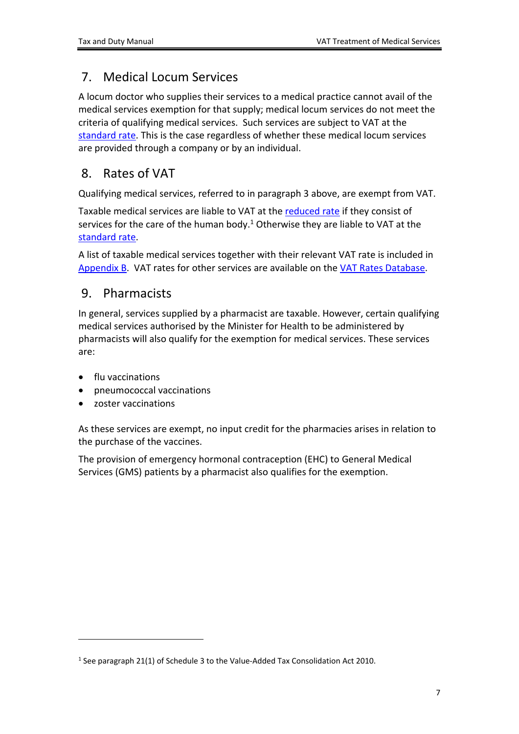## <span id="page-6-0"></span>7. Medical Locum Services

A locum doctor who supplies their services to a medical practice cannot avail of the medical services exemption for that supply; medical locum services do not meet the criteria of qualifying medical services. Such services are subject to VAT at the [standard](https://www.revenue.ie/en/vat/vat-rates/search-vat-rates/current-vat-rates.aspx) [rate.](https://www.revenue.ie/en/vat/vat-rates/search-vat-rates/current-vat-rates.aspx) This is the case regardless of whether these medical locum services are provided through a company or by an individual.

### <span id="page-6-1"></span>8. Rates of VAT

Qualifying medical services, referred to in paragraph 3 above, are exempt from VAT.

Taxable medical services are liable to VAT at the [reduced](https://www.revenue.ie/en/vat/vat-rates/search-vat-rates/current-vat-rates.aspx) [rate](https://www.revenue.ie/en/vat/vat-rates/search-vat-rates/current-vat-rates.aspx) if they consist of services for the care of the human body.<sup>1</sup> Otherwise they are liable to VAT at the [standard](https://www.revenue.ie/en/vat/vat-rates/search-vat-rates/current-vat-rates.aspx) [rate.](https://www.revenue.ie/en/vat/vat-rates/search-vat-rates/current-vat-rates.aspx)

A list of taxable medical services together with their relevant VAT rate is included in [Appendix](#page-8-0) [B](#page-8-0). VAT rates for other services are available on the [VAT](https://www.revenue.ie/en/vat/vat-rates/search-vat-rates/VAT-rates-database.aspx) [Rates](https://www.revenue.ie/en/vat/vat-rates/search-vat-rates/VAT-rates-database.aspx) [Database.](https://www.revenue.ie/en/vat/vat-rates/search-vat-rates/VAT-rates-database.aspx)

#### <span id="page-6-2"></span>9. Pharmacists

In general, services supplied by a pharmacist are taxable. However, certain qualifying medical services authorised by the Minister for Health to be administered by pharmacists will also qualify for the exemption for medical services. These services are:

- flu vaccinations
- pneumococcal vaccinations
- zoster vaccinations

As these services are exempt, no input credit for the pharmacies arises in relation to the purchase of the vaccines.

The provision of emergency hormonal contraception (EHC) to General Medical Services (GMS) patients by a pharmacist also qualifies for the exemption.

<sup>1</sup> See paragraph 21(1) of Schedule 3 to the Value-Added Tax Consolidation Act 2010.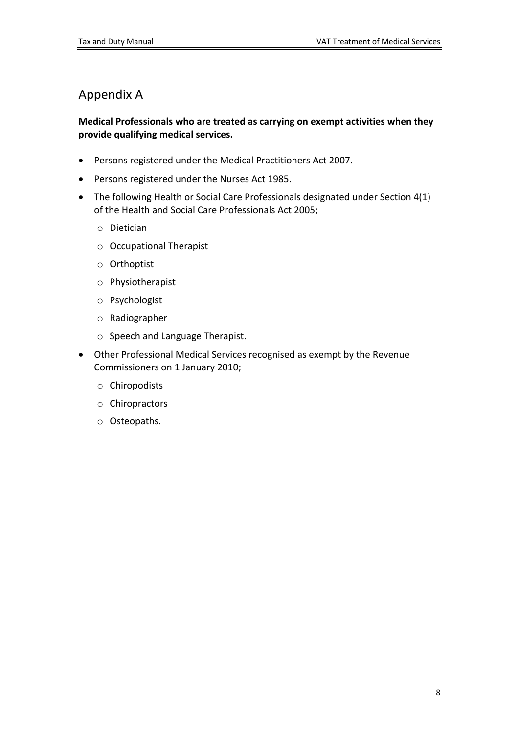### <span id="page-7-0"></span>Appendix A

#### **Medical Professionals who are treated as carrying on exempt activities when they provide qualifying medical services.**

- Persons registered under the Medical Practitioners Act 2007.
- Persons registered under the Nurses Act 1985.
- The following Health or Social Care Professionals designated under Section 4(1) of the Health and Social Care Professionals Act 2005;
	- o Dietician
	- o Occupational Therapist
	- o Orthoptist
	- o Physiotherapist
	- o Psychologist
	- o Radiographer
	- o Speech and Language Therapist.
- Other Professional Medical Services recognised as exempt by the Revenue Commissioners on 1 January 2010;
	- o Chiropodists
	- o Chiropractors
	- o Osteopaths.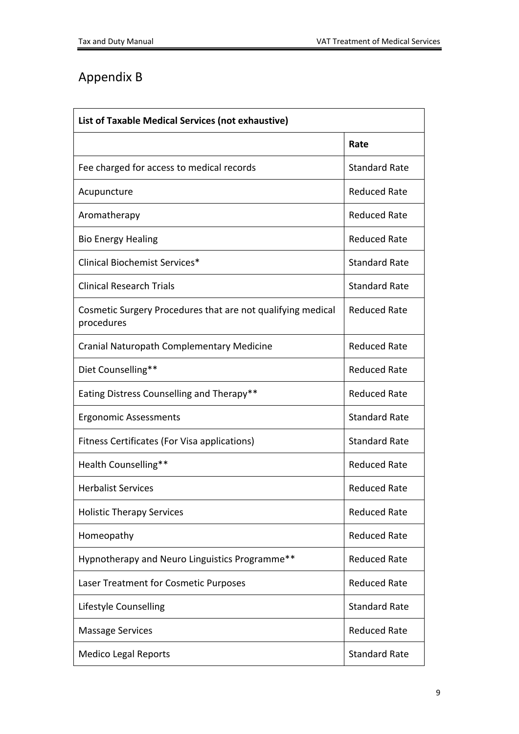# <span id="page-8-0"></span>Appendix B

| List of Taxable Medical Services (not exhaustive)                         |                      |  |  |
|---------------------------------------------------------------------------|----------------------|--|--|
|                                                                           | Rate                 |  |  |
| Fee charged for access to medical records                                 | <b>Standard Rate</b> |  |  |
| Acupuncture                                                               | <b>Reduced Rate</b>  |  |  |
| Aromatherapy                                                              | <b>Reduced Rate</b>  |  |  |
| <b>Bio Energy Healing</b>                                                 | <b>Reduced Rate</b>  |  |  |
| <b>Clinical Biochemist Services*</b>                                      | <b>Standard Rate</b> |  |  |
| <b>Clinical Research Trials</b>                                           | <b>Standard Rate</b> |  |  |
| Cosmetic Surgery Procedures that are not qualifying medical<br>procedures | <b>Reduced Rate</b>  |  |  |
| Cranial Naturopath Complementary Medicine                                 | <b>Reduced Rate</b>  |  |  |
| Diet Counselling**                                                        | <b>Reduced Rate</b>  |  |  |
| Eating Distress Counselling and Therapy**                                 | <b>Reduced Rate</b>  |  |  |
| <b>Ergonomic Assessments</b>                                              | <b>Standard Rate</b> |  |  |
| Fitness Certificates (For Visa applications)                              | <b>Standard Rate</b> |  |  |
| Health Counselling**                                                      | <b>Reduced Rate</b>  |  |  |
| <b>Herbalist Services</b>                                                 | <b>Reduced Rate</b>  |  |  |
| <b>Holistic Therapy Services</b>                                          | <b>Reduced Rate</b>  |  |  |
| Homeopathy                                                                | <b>Reduced Rate</b>  |  |  |
| Hypnotherapy and Neuro Linguistics Programme**                            | <b>Reduced Rate</b>  |  |  |
| Laser Treatment for Cosmetic Purposes                                     | <b>Reduced Rate</b>  |  |  |
| Lifestyle Counselling                                                     | <b>Standard Rate</b> |  |  |
| <b>Massage Services</b>                                                   | <b>Reduced Rate</b>  |  |  |
| <b>Medico Legal Reports</b>                                               | <b>Standard Rate</b> |  |  |